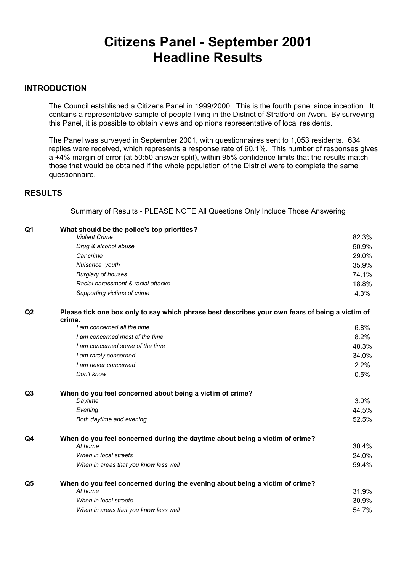# **Citizens Panel - September 2001 Headline Results**

### **INTRODUCTION**

The Council established a Citizens Panel in 1999/2000. This is the fourth panel since inception. It contains a representative sample of people living in the District of Stratford-on-Avon. By surveying this Panel, it is possible to obtain views and opinions representative of local residents.

 The Panel was surveyed in September 2001, with questionnaires sent to 1,053 residents. 634 replies were received, which represents a response rate of 60.1%. This number of responses gives a +4% margin of error (at 50:50 answer split), within 95% confidence limits that the results match those that would be obtained if the whole population of the District were to complete the same questionnaire.

## **RESULTS**

Summary of Results - PLEASE NOTE All Questions Only Include Those Answering

| Q1             | What should be the police's top priorities?<br><b>Violent Crime</b>                                       | 82.3% |
|----------------|-----------------------------------------------------------------------------------------------------------|-------|
|                | Drug & alcohol abuse                                                                                      | 50.9% |
|                | Car crime                                                                                                 | 29.0% |
|                | Nuisance youth                                                                                            | 35.9% |
|                | <b>Burglary of houses</b>                                                                                 | 74.1% |
|                | Racial harassment & racial attacks                                                                        | 18.8% |
|                | Supporting victims of crime                                                                               | 4.3%  |
| Q2             | Please tick one box only to say which phrase best describes your own fears of being a victim of<br>crime. |       |
|                | I am concerned all the time                                                                               | 6.8%  |
|                | I am concerned most of the time                                                                           | 8.2%  |
|                | I am concerned some of the time                                                                           | 48.3% |
|                | I am rarely concerned                                                                                     | 34.0% |
|                | I am never concerned                                                                                      | 2.2%  |
|                | Don't know                                                                                                | 0.5%  |
| Q <sub>3</sub> | When do you feel concerned about being a victim of crime?                                                 |       |
|                | Daytime                                                                                                   | 3.0%  |
|                | Evening                                                                                                   | 44.5% |
|                | Both daytime and evening                                                                                  | 52.5% |
| Q4             | When do you feel concerned during the daytime about being a victim of crime?                              |       |
|                | At home                                                                                                   | 30.4% |
|                | When in local streets                                                                                     | 24.0% |
|                | When in areas that you know less well                                                                     | 59.4% |
| Q5             | When do you feel concerned during the evening about being a victim of crime?                              |       |
|                | At home                                                                                                   | 31.9% |
|                | When in local streets                                                                                     | 30.9% |
|                | When in areas that you know less well                                                                     | 54.7% |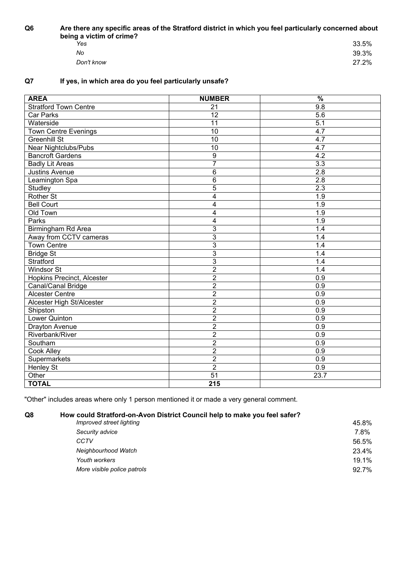**Q6 Are there any specific areas of the Stratford district in which you feel particularly concerned about** 

| being a victim of crime? |       |
|--------------------------|-------|
| Yes                      | 33.5% |
| No                       | 39.3% |
| Don't know               | 27.2% |

# **Q7 If yes, in which area do you feel particularly unsafe?**

| <b>AREA</b>                       | <b>NUMBER</b>     | $\frac{9}{6}$    |
|-----------------------------------|-------------------|------------------|
| <b>Stratford Town Centre</b>      | 21                | $\overline{9.8}$ |
| Car Parks                         | $\overline{12}$   | 5.6              |
| Waterside                         | $\overline{11}$   | $\overline{5.1}$ |
| <b>Town Centre Evenings</b>       | 10                | 4.7              |
| <b>Greenhill St</b>               | $\overline{10}$   | 4.7              |
| <b>Near Nightclubs/Pubs</b>       | $\overline{10}$   | 4.7              |
| <b>Bancroft Gardens</b>           | 9                 | $\overline{4.2}$ |
| <b>Badly Lit Areas</b>            | 7                 | $\overline{3.3}$ |
| <b>Justins Avenue</b>             | 6                 | $\overline{2.8}$ |
| Leamington Spa                    | $\overline{6}$    | $\overline{2.8}$ |
| Studley                           | $\overline{5}$    | $\overline{2.3}$ |
| <b>Rother St</b>                  | 4                 | 1.9              |
| <b>Bell Court</b>                 | 4                 | 1.9              |
| Old Town                          | 4                 | 1.9              |
| Parks                             | 4                 | $\overline{1.9}$ |
| Birmingham Rd Area                | 3                 | 1.4              |
| Away from CCTV cameras            | 3                 | 1.4              |
| <b>Town Centre</b>                | 3                 | 1.4              |
| <b>Bridge St</b>                  | 3                 | 1.4              |
| Stratford                         | 3                 | 1.4              |
| <b>Windsor St</b>                 | $\overline{2}$    | 1.4              |
| <b>Hopkins Precinct, Alcester</b> | $\overline{2}$    | $\overline{0.9}$ |
| Canal/Canal Bridge                | $\overline{2}$    | $\overline{0.9}$ |
| <b>Alcester Centre</b>            | $\overline{2}$    | $\overline{0.9}$ |
| Alcester High St/Alcester         | $\overline{2}$    | $\overline{0.9}$ |
| Shipston                          | $\overline{2}$    | 0.9              |
| Lower Quinton                     | $\overline{2}$    | 0.9              |
| Drayton Avenue                    | $\overline{2}$    | 0.9              |
| Riverbank/River                   | $\overline{2}$    | 0.9              |
| Southam                           | $\overline{2}$    | 0.9              |
| Cook Alley                        | $\overline{2}$    | 0.9              |
| Supermarkets                      | $\overline{2}$    | 0.9              |
| <b>Henley St</b>                  | $\overline{2}$    | 0.9              |
| Other                             | 51                | 23.7             |
| <b>TOTAL</b>                      | $\overline{2}$ 15 |                  |

"Other" includes areas where only 1 person mentioned it or made a very general comment.

**Q8 How could Stratford-on-Avon District Council help to make you feel safer?**

| Improved street lighting    | 45.8% |
|-----------------------------|-------|
| Security advice             | 7.8%  |
| CCTV                        | 56.5% |
| Neighbourhood Watch         | 23.4% |
| Youth workers               | 19.1% |
| More visible police patrols | 92.7% |
|                             |       |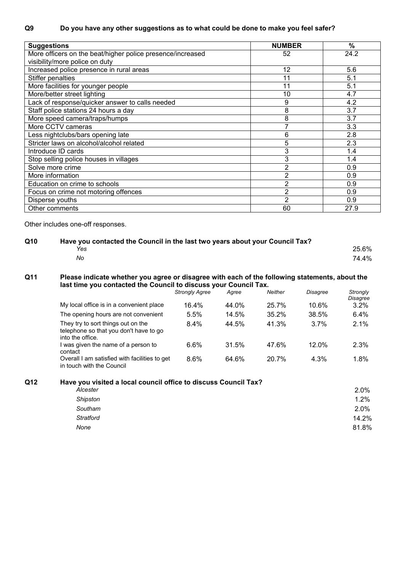| <b>Suggestions</b>                                         | <b>NUMBER</b>  | $\%$ |
|------------------------------------------------------------|----------------|------|
| More officers on the beat/higher police presence/increased | 52             | 24.2 |
| visibility/more police on duty                             |                |      |
| Increased police presence in rural areas                   | 12             | 5.6  |
| <b>Stiffer penalties</b>                                   | 11             | 5.1  |
| More facilities for younger people                         | 11             | 5.1  |
| More/better street lighting                                | 10             | 4.7  |
| Lack of response/quicker answer to calls needed            | 9              | 4.2  |
| Staff police stations 24 hours a day                       | 8              | 3.7  |
| More speed camera/traps/humps                              | 8              | 3.7  |
| More CCTV cameras                                          |                | 3.3  |
| Less nightclubs/bars opening late                          | 6              | 2.8  |
| Stricter laws on alcohol/alcohol related                   | 5              | 2.3  |
| Introduce ID cards                                         | 3              | 1.4  |
| Stop selling police houses in villages                     | 3              | 1.4  |
| Solve more crime                                           | $\overline{2}$ | 0.9  |
| More information                                           | 2              | 0.9  |
| Education on crime to schools                              | 2              | 0.9  |
| Focus on crime not motoring offences                       | $\overline{2}$ | 0.9  |
| Disperse youths                                            | 2              | 0.9  |
| Other comments                                             | 60             | 27.9 |

Other includes one-off responses.

## **Q10 Have you contacted the Council in the last two years about your Council Tax?** *Yes* 25.6% *No* 74.4%

### **Q11 Please indicate whether you agree or disagree with each of the following statements, about the last time you contacted the Council to discuss your Council Tax.**

|                                                                                                  | <b>Strongly Agree</b> | Agree | Neither | <b>Disagree</b> | Strongly<br>Disagree |
|--------------------------------------------------------------------------------------------------|-----------------------|-------|---------|-----------------|----------------------|
| My local office is in a convenient place                                                         | 16.4%                 | 44.0% | 25.7%   | 10.6%           | $3.2\%$              |
| The opening hours are not convenient                                                             | 5.5%                  | 14.5% | 35.2%   | 38.5%           | 6.4%                 |
| They try to sort things out on the<br>telephone so that you don't have to go<br>into the office. | 8.4%                  | 44.5% | 41.3%   | 3.7%            | 2.1%                 |
| I was given the name of a person to<br>contact                                                   | 6.6%                  | 31.5% | 47.6%   | $12.0\%$        | 2.3%                 |
| Overall I am satisfied with facilities to get<br>in touch with the Council                       | 8.6%                  | 64.6% | 20.7%   | 4.3%            | 1.8%                 |

# **Q12 Have you visited a local council office to discuss Council Tax?**

| 2.0%  |
|-------|
| 1.2%  |
| 2.0%  |
| 14.2% |
| 81.8% |
|       |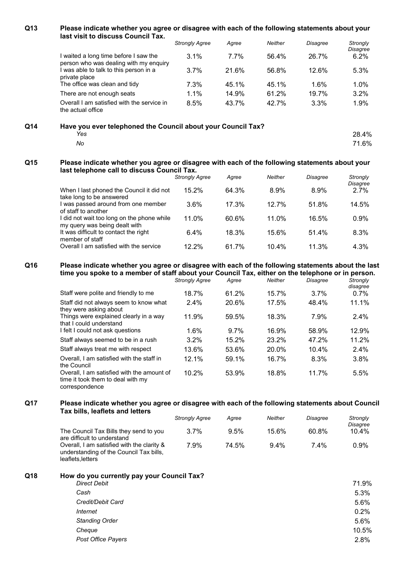#### **Q13 Please indicate whether you agree or disagree with each of the following statements about your last visit to discuss Council Tax.**

|     |                                                                                 | <b>Strongly Agree</b> | Agree   | Neither | <b>Disagree</b> | Strongly         |
|-----|---------------------------------------------------------------------------------|-----------------------|---------|---------|-----------------|------------------|
|     | I waited a long time before I saw the<br>person who was dealing with my enquiry | $3.1\%$               | $7.7\%$ | 56.4%   | 26.7%           | Disagree<br>6.2% |
|     | I was able to talk to this person in a<br>private place                         | 3.7%                  | 21.6%   | 56.8%   | 12.6%           | 5.3%             |
|     | The office was clean and tidy                                                   | 7.3%                  | 45.1%   | 45.1%   | 1.6%            | 1.0%             |
|     | There are not enough seats                                                      | $1.1\%$               | 14.9%   | 61.2%   | 19.7%           | 3.2%             |
|     | Overall I am satisfied with the service in<br>the actual office                 | 8.5%                  | 43.7%   | 42.7%   | 3.3%            | 1.9%             |
| Q14 | Have you ever telephoned the Council about your Council Tax?                    |                       |         |         |                 |                  |
|     | Yes                                                                             |                       |         |         |                 | 28.4%            |

### **Q15 Please indicate whether you agree or disagree with each of the following statements about your last telephone call to discuss Council Tax.**

|                                                                           | <b>Strongly Agree</b> | Agree | <b>Neither</b> | Disagree | Strongly<br>Disagree |
|---------------------------------------------------------------------------|-----------------------|-------|----------------|----------|----------------------|
| When I last phoned the Council it did not<br>take long to be answered     | 15.2%                 | 64.3% | 8.9%           | 8.9%     | $2.7\%$              |
| was passed around from one member<br>of staff to another                  | 3.6%                  | 17.3% | 12.7%          | 51.8%    | 14.5%                |
| did not wait too long on the phone while<br>my query was being dealt with | 11.0%                 | 60.6% | 11.0%          | 16.5%    | 0.9%                 |
| It was difficult to contact the right<br>member of staff                  | 6.4%                  | 18.3% | 15.6%          | 51.4%    | 8.3%                 |
| Overall I am satisfied with the service                                   | 12.2%                 | 61.7% | $10.4\%$       | 11.3%    | 4.3%                 |

*No* 71.6%

### **Q16 Please indicate whether you agree or disagree with each of the following statements about the last time you spoke to a member of staff about your Council Tax, either on the telephone or in person.**

|                                                                                                   | <b>Strongly Agree</b> | Agree   | <b>Neither</b> | <b>Disagree</b> | Strongly<br>disagree |
|---------------------------------------------------------------------------------------------------|-----------------------|---------|----------------|-----------------|----------------------|
| Staff were polite and friendly to me                                                              | 18.7%                 | 61.2%   | $15.7\%$       | 3.7%            | $0.7\%$              |
| Staff did not always seem to know what<br>they were asking about                                  | 2.4%                  | 20.6%   | 17.5%          | 48.4%           | 11.1%                |
| Things were explained clearly in a way<br>that I could understand                                 | 11.9%                 | 59.5%   | 18.3%          | 7.9%            | $2.4\%$              |
| I felt I could not ask questions                                                                  | 1.6%                  | $9.7\%$ | 16.9%          | 58.9%           | 12.9%                |
| Staff always seemed to be in a rush                                                               | $3.2\%$               | 15.2%   | 23.2%          | 47.2%           | 11.2%                |
| Staff always treat me with respect                                                                | 13.6%                 | 53.6%   | 20.0%          | 10.4%           | $2.4\%$              |
| Overall. I am satisfied with the staff in<br>the Council                                          | 12.1%                 | 59.1%   | 16.7%          | 8.3%            | 3.8%                 |
| Overall. I am satisfied with the amount of<br>time it took them to deal with my<br>correspondence | 10.2%                 | 53.9%   | 18.8%          | 11.7%           | 5.5%                 |

#### **Q17 Please indicate whether you agree or disagree with each of the following statements about Council Tax bills, leaflets and letters**

|                                                                                                            | <b>Strongly Agree</b> | Aaree | Neither | Disagree | Strongly<br>Disagree |
|------------------------------------------------------------------------------------------------------------|-----------------------|-------|---------|----------|----------------------|
| The Council Tax Bills they send to you<br>are difficult to understand                                      | 3.7%                  | 9.5%  | 15.6%   | 60.8%    | $10.4\%$             |
| Overall, I am satisfied with the clarity &<br>understanding of the Council Tax bills,<br>leaflets, letters | 7.9%                  | 74.5% | $9.4\%$ | $7.4\%$  | $0.9\%$              |

| Q18 | How do you currently pay your Council Tax? |       |
|-----|--------------------------------------------|-------|
|     | <b>Direct Debit</b>                        | 71.9% |
|     | Cash                                       | 5.3%  |
|     | Credit/Debit Card                          | 5.6%  |
|     | Internet                                   | 0.2%  |
|     | <b>Standing Order</b>                      | 5.6%  |
|     | Cheque                                     | 10.5% |
|     | <b>Post Office Payers</b>                  | 2.8%  |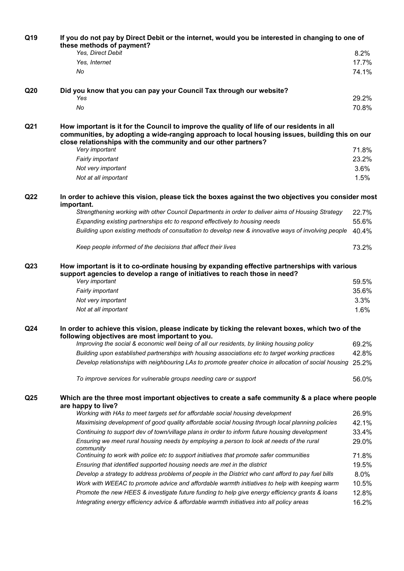| Q19             | If you do not pay by Direct Debit or the internet, would you be interested in changing to one of<br>these methods of payment?                                                                                                                                  |                |  |  |
|-----------------|----------------------------------------------------------------------------------------------------------------------------------------------------------------------------------------------------------------------------------------------------------------|----------------|--|--|
|                 | Yes, Direct Debit                                                                                                                                                                                                                                              | 8.2%           |  |  |
|                 | Yes, Internet                                                                                                                                                                                                                                                  | 17.7%          |  |  |
|                 | No                                                                                                                                                                                                                                                             | 74.1%          |  |  |
| Q <sub>20</sub> | Did you know that you can pay your Council Tax through our website?                                                                                                                                                                                            |                |  |  |
|                 | Yes                                                                                                                                                                                                                                                            | 29.2%          |  |  |
|                 | No                                                                                                                                                                                                                                                             | 70.8%          |  |  |
| Q21             | How important is it for the Council to improve the quality of life of our residents in all<br>communities, by adopting a wide-ranging approach to local housing issues, building this on our<br>close relationships with the community and our other partners? |                |  |  |
|                 | Very important                                                                                                                                                                                                                                                 | 71.8%          |  |  |
|                 | Fairly important                                                                                                                                                                                                                                               | 23.2%          |  |  |
|                 | Not very important                                                                                                                                                                                                                                             | 3.6%           |  |  |
|                 | Not at all important                                                                                                                                                                                                                                           | 1.5%           |  |  |
| Q <sub>22</sub> | In order to achieve this vision, please tick the boxes against the two objectives you consider most<br>important.                                                                                                                                              |                |  |  |
|                 | Strengthening working with other Council Departments in order to deliver aims of Housing Strategy                                                                                                                                                              | 22.7%          |  |  |
|                 | Expanding existing partnerships etc to respond effectively to housing needs                                                                                                                                                                                    | 55.6%          |  |  |
|                 | Building upon existing methods of consultation to develop new & innovative ways of involving people                                                                                                                                                            | 40.4%          |  |  |
|                 | Keep people informed of the decisions that affect their lives                                                                                                                                                                                                  | 73.2%          |  |  |
| Q <sub>23</sub> | How important is it to co-ordinate housing by expanding effective partnerships with various<br>support agencies to develop a range of initiatives to reach those in need?<br>Very important                                                                    |                |  |  |
|                 |                                                                                                                                                                                                                                                                | 59.5%          |  |  |
|                 | Fairly important                                                                                                                                                                                                                                               | 35.6%          |  |  |
|                 | Not very important                                                                                                                                                                                                                                             | 3.3%           |  |  |
|                 | Not at all important                                                                                                                                                                                                                                           | 1.6%           |  |  |
| Q <sub>24</sub> | In order to achieve this vision, please indicate by ticking the relevant boxes, which two of the<br>following objectives are most important to you.                                                                                                            |                |  |  |
|                 | Improving the social & economic well being of all our residents, by linking housing policy                                                                                                                                                                     | 69.2%          |  |  |
|                 | Building upon established partnerships with housing associations etc to target working practices                                                                                                                                                               | 42.8%          |  |  |
|                 | Develop relationships with neighbouring LAs to promote greater choice in allocation of social housing                                                                                                                                                          | 25.2%          |  |  |
|                 | To improve services for vulnerable groups needing care or support                                                                                                                                                                                              | 56.0%          |  |  |
| Q <sub>25</sub> | Which are the three most important objectives to create a safe community & a place where people<br>are happy to live?                                                                                                                                          |                |  |  |
|                 | Working with HAs to meet targets set for affordable social housing development                                                                                                                                                                                 | 26.9%          |  |  |
|                 | Maximising development of good quality affordable social housing through local planning policies                                                                                                                                                               | 42.1%          |  |  |
|                 | Continuing to support dev of town/village plans in order to inform future housing development                                                                                                                                                                  | 33.4%          |  |  |
|                 | Ensuring we meet rural housing needs by employing a person to look at needs of the rural<br>community<br>Continuing to work with police etc to support initiatives that promote safer communities                                                              | 29.0%<br>71.8% |  |  |
|                 |                                                                                                                                                                                                                                                                |                |  |  |
|                 | Ensuring that identified supported housing needs are met in the district                                                                                                                                                                                       | 19.5%          |  |  |
|                 | Develop a strategy to address problems of people in the District who cant afford to pay fuel bills                                                                                                                                                             | 8.0%           |  |  |
|                 | Work with WEEAC to promote advice and affordable warmth initiatives to help with keeping warm                                                                                                                                                                  | 10.5%          |  |  |
|                 | Promote the new HEES & investigate future funding to help give energy efficiency grants & loans                                                                                                                                                                | 12.8%          |  |  |
|                 | Integrating energy efficiency advice & affordable warmth initiatives into all policy areas                                                                                                                                                                     | 16.2%          |  |  |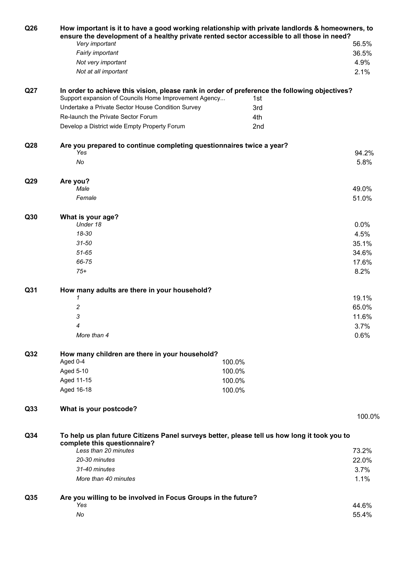| Q26             | How important is it to have a good working relationship with private landlords & homeowners, to<br>ensure the development of a healthy private rented sector accessible to all those in need? |        |              |  |  |
|-----------------|-----------------------------------------------------------------------------------------------------------------------------------------------------------------------------------------------|--------|--------------|--|--|
|                 | Very important                                                                                                                                                                                |        | 56.5%        |  |  |
|                 | Fairly important                                                                                                                                                                              |        | 36.5%        |  |  |
|                 | Not very important<br>Not at all important                                                                                                                                                    |        | 4.9%<br>2.1% |  |  |
|                 |                                                                                                                                                                                               |        |              |  |  |
| Q27             | In order to achieve this vision, please rank in order of preference the following objectives?<br>Support expansion of Councils Home Improvement Agency<br>1st                                 |        |              |  |  |
|                 | Undertake a Private Sector House Condition Survey                                                                                                                                             | 3rd    |              |  |  |
|                 | Re-launch the Private Sector Forum                                                                                                                                                            | 4th    |              |  |  |
|                 | Develop a District wide Empty Property Forum                                                                                                                                                  | 2nd    |              |  |  |
| Q <sub>28</sub> | Are you prepared to continue completing questionnaires twice a year?<br>Yes                                                                                                                   |        | 94.2%        |  |  |
|                 | No                                                                                                                                                                                            |        | 5.8%         |  |  |
| Q29             |                                                                                                                                                                                               |        |              |  |  |
|                 | Are you?<br>Male                                                                                                                                                                              |        | 49.0%        |  |  |
|                 | Female                                                                                                                                                                                        |        | 51.0%        |  |  |
| Q30             | What is your age?                                                                                                                                                                             |        |              |  |  |
|                 | Under 18                                                                                                                                                                                      |        | 0.0%         |  |  |
|                 | 18-30                                                                                                                                                                                         |        | 4.5%         |  |  |
|                 | $31 - 50$                                                                                                                                                                                     |        | 35.1%        |  |  |
|                 | $51 - 65$                                                                                                                                                                                     |        | 34.6%        |  |  |
|                 | 66-75                                                                                                                                                                                         |        | 17.6%        |  |  |
|                 | $75+$                                                                                                                                                                                         |        | 8.2%         |  |  |
| Q31             | How many adults are there in your household?                                                                                                                                                  |        |              |  |  |
|                 | 1                                                                                                                                                                                             |        | 19.1%        |  |  |
|                 | 2                                                                                                                                                                                             |        | 65.0%        |  |  |
|                 | 3                                                                                                                                                                                             |        | 11.6%        |  |  |
|                 | 4                                                                                                                                                                                             |        | 3.7%         |  |  |
|                 | More than 4                                                                                                                                                                                   |        | 0.6%         |  |  |
| Q <sub>32</sub> | How many children are there in your household?                                                                                                                                                |        |              |  |  |
|                 | Aged 0-4                                                                                                                                                                                      | 100.0% |              |  |  |
|                 | Aged 5-10                                                                                                                                                                                     | 100.0% |              |  |  |
|                 | Aged 11-15                                                                                                                                                                                    | 100.0% |              |  |  |
|                 | Aged 16-18                                                                                                                                                                                    | 100.0% |              |  |  |
| Q <sub>33</sub> | What is your postcode?                                                                                                                                                                        |        | 100.0%       |  |  |
|                 |                                                                                                                                                                                               |        |              |  |  |
| Q <sub>34</sub> | To help us plan future Citizens Panel surveys better, please tell us how long it took you to<br>complete this questionnaire?                                                                  |        |              |  |  |
|                 | Less than 20 minutes                                                                                                                                                                          |        | 73.2%        |  |  |
|                 | 20-30 minutes<br>31-40 minutes                                                                                                                                                                |        | 22.0%        |  |  |
|                 | More than 40 minutes                                                                                                                                                                          |        | 3.7%<br>1.1% |  |  |
|                 |                                                                                                                                                                                               |        |              |  |  |
| Q35             | Are you willing to be involved in Focus Groups in the future?                                                                                                                                 |        |              |  |  |
|                 | Yes                                                                                                                                                                                           |        | 44.6%        |  |  |
|                 | No                                                                                                                                                                                            |        | 55.4%        |  |  |